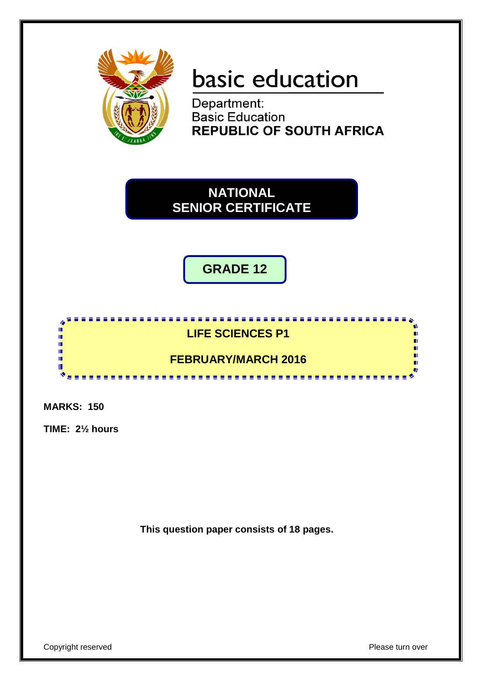

# basic education

Department: **Basic Education REPUBLIC OF SOUTH AFRICA** 

**NATIONAL SENIOR CERTIFICATE**

**GRADE 12**

#### **LIFE SCIENCES P1**

# **FEBRUARY/MARCH 2016**

**MARKS: 150**

h IĖ, I. ī, I. I. II.

**TIME: 2½ hours**

**This question paper consists of 18 pages.**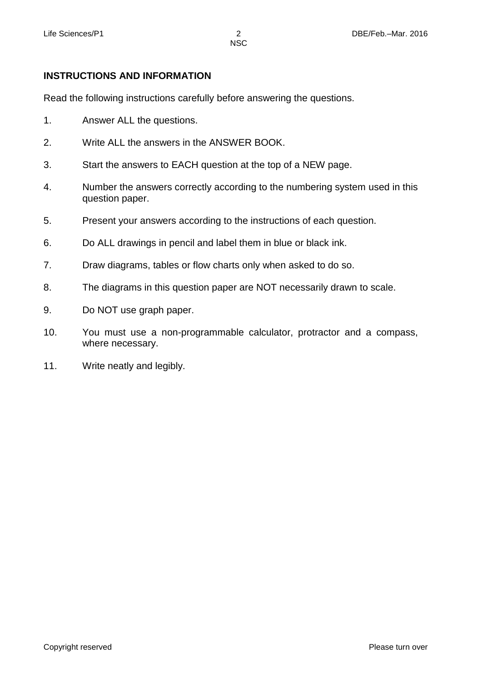#### **INSTRUCTIONS AND INFORMATION**

Read the following instructions carefully before answering the questions.

- 1. Answer ALL the questions.
- 2. Write ALL the answers in the ANSWER BOOK.
- 3. Start the answers to EACH question at the top of a NEW page.
- 4. Number the answers correctly according to the numbering system used in this question paper.
- 5. Present your answers according to the instructions of each question.
- 6. Do ALL drawings in pencil and label them in blue or black ink.
- 7. Draw diagrams, tables or flow charts only when asked to do so.
- 8. The diagrams in this question paper are NOT necessarily drawn to scale.
- 9. Do NOT use graph paper.
- 10. You must use a non-programmable calculator, protractor and a compass, where necessary.
- 11. Write neatly and legibly.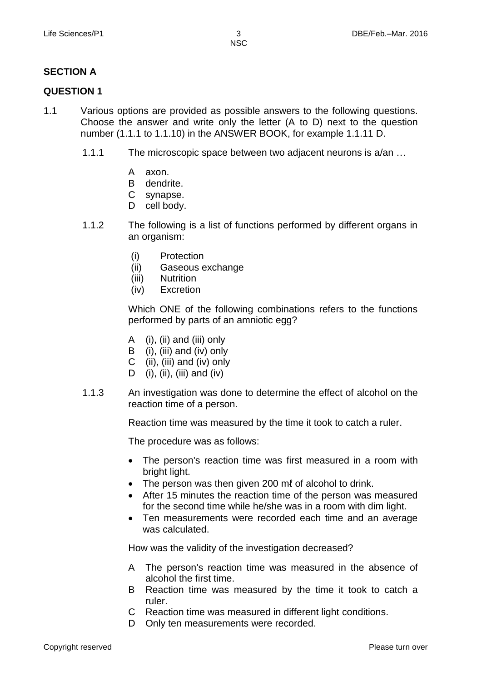# **SECTION A**

#### **QUESTION 1**

- 1.1 Various options are provided as possible answers to the following questions. Choose the answer and write only the letter (A to D) next to the question number (1.1.1 to 1.1.10) in the ANSWER BOOK, for example 1.1.11 D.
	- 1.1.1 The microscopic space between two adjacent neurons is a/an …
		- A axon.
		- B dendrite.
		- C synapse.
		- D cell body.
	- 1.1.2 The following is a list of functions performed by different organs in an organism:
		- (i) Protection
		- (ii) Gaseous exchange
		- (iii) Nutrition
		- (iv) Excretion

Which ONE of the following combinations refers to the functions performed by parts of an amniotic egg?

- A (i), (ii) and (iii) only
- B (i), (iii) and (iv) only
- C (ii), (iii) and (iv) only
- D  $(i)$ ,  $(ii)$ ,  $(iii)$  and  $(iv)$
- 1.1.3 An investigation was done to determine the effect of alcohol on the reaction time of a person.

Reaction time was measured by the time it took to catch a ruler.

The procedure was as follows:

- The person's reaction time was first measured in a room with bright light.
- The person was then given 200 mℓ of alcohol to drink.
- After 15 minutes the reaction time of the person was measured for the second time while he/she was in a room with dim light.
- Ten measurements were recorded each time and an average was calculated.

How was the validity of the investigation decreased?

- A The person's reaction time was measured in the absence of alcohol the first time.
- B Reaction time was measured by the time it took to catch a ruler.
- C Reaction time was measured in different light conditions.
- D Only ten measurements were recorded.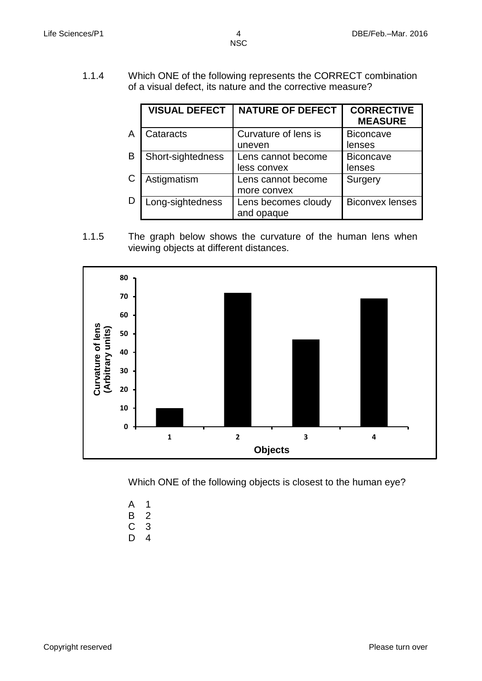1.1.4 Which ONE of the following represents the CORRECT combination of a visual defect, its nature and the corrective measure?

|   | <b>VISUAL DEFECT</b> | <b>NATURE OF DEFECT</b> | <b>CORRECTIVE</b><br><b>MEASURE</b> |
|---|----------------------|-------------------------|-------------------------------------|
| A | Cataracts            | Curvature of lens is    | <b>Biconcave</b>                    |
|   |                      | uneven                  | lenses                              |
| B | Short-sightedness    | Lens cannot become      | <b>Biconcave</b>                    |
|   |                      | less convex             | lenses                              |
| С | Astigmatism          | Lens cannot become      | Surgery                             |
|   |                      | more convex             |                                     |
| D | Long-sightedness     | Lens becomes cloudy     | <b>Biconvex lenses</b>              |
|   |                      | and opaque              |                                     |

1.1.5 The graph below shows the curvature of the human lens when viewing objects at different distances.





- A 1
- B C 2 3
- D 4

Copyright reserved **Please** turn over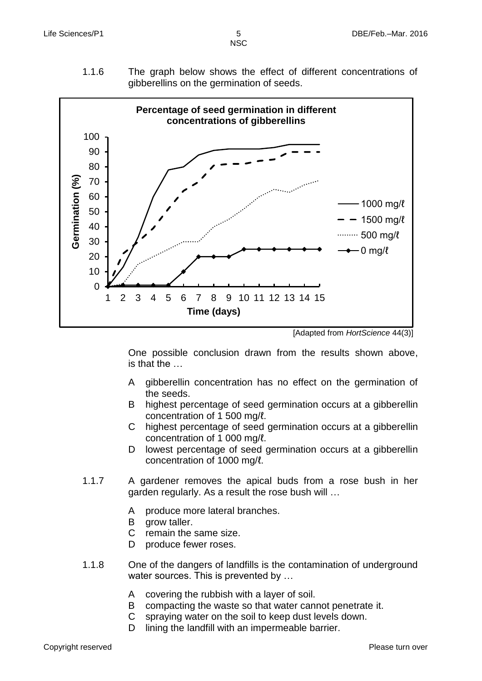1.1.6 The graph below shows the effect of different concentrations of gibberellins on the germination of seeds.



[Adapted from *HortScience* 44(3)]

One possible conclusion drawn from the results shown above, is that the …

- A gibberellin concentration has no effect on the germination of the seeds.
- B highest percentage of seed germination occurs at a gibberellin concentration of 1 500 mg/ℓ.
- C highest percentage of seed germination occurs at a gibberellin concentration of 1 000 mg/ℓ.
- D lowest percentage of seed germination occurs at a gibberellin concentration of 1000 mg/ℓ.
- 1.1.7 A gardener removes the apical buds from a rose bush in her garden regularly. As a result the rose bush will …
	- A produce more lateral branches.
	- B grow taller.
	- C remain the same size.
	- D. produce fewer roses.
- 1.1.8 One of the dangers of landfills is the contamination of underground water sources. This is prevented by ...
	- A covering the rubbish with a layer of soil.
	- B compacting the waste so that water cannot penetrate it.
	- C spraying water on the soil to keep dust levels down.
	- D lining the landfill with an impermeable barrier.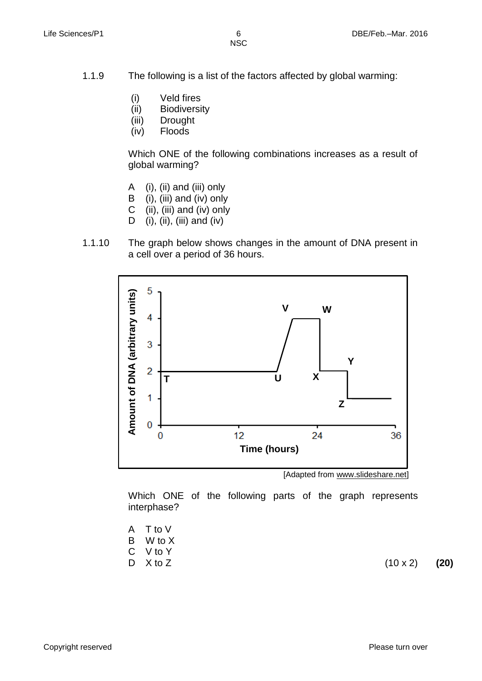- 1.1.9 The following is a list of the factors affected by global warming:
	- (i) Veld fires
	- (ii) Biodiversity
	- (iii) Drought
	- (iv) Floods

Which ONE of the following combinations increases as a result of global warming?

- A (i), (ii) and (iii) only
- B (i), (iii) and (iv) only
- C (ii), (iii) and (iv) only
- D (i), (ii), (iii) and (iv)
- 1.1.10 The graph below shows changes in the amount of DNA present in a cell over a period of 36 hours.



[Adapted from www.slideshare.net]

Which ONE of the following parts of the graph represents interphase?

- A T to V
- B W to X
- C V to Y
- D X to Z

 $(10 \times 2)$  **(20)**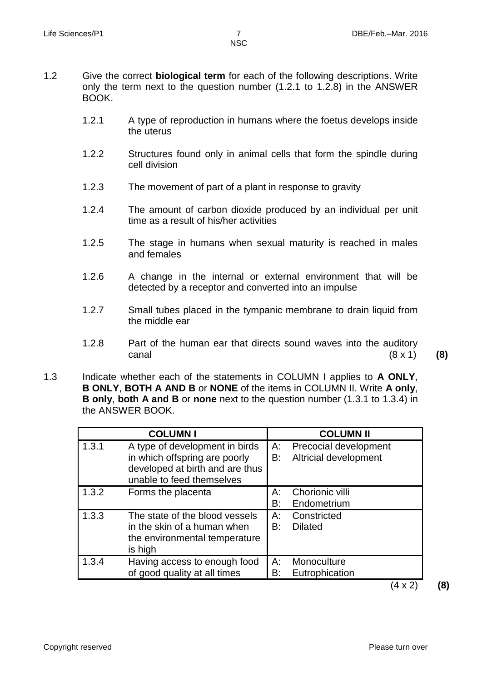- 1.2 Give the correct **biological term** for each of the following descriptions. Write only the term next to the question number (1.2.1 to 1.2.8) in the ANSWER BOOK.
	- 1.2.1 A type of reproduction in humans where the foetus develops inside the uterus
	- 1.2.2 Structures found only in animal cells that form the spindle during cell division
	- 1.2.3 The movement of part of a plant in response to gravity
	- 1.2.4 The amount of carbon dioxide produced by an individual per unit time as a result of his/her activities
	- 1.2.5 The stage in humans when sexual maturity is reached in males and females
	- 1.2.6 A change in the internal or external environment that will be detected by a receptor and converted into an impulse
	- 1.2.7 Small tubes placed in the tympanic membrane to drain liquid from the middle ear
	- 1.2.8 Part of the human ear that directs sound waves into the auditory canal (8 x 1) **(8)**
- 1.3 Indicate whether each of the statements in COLUMN I applies to **A ONLY**, **B ONLY**, **BOTH A AND B** or **NONE** of the items in COLUMN II. Write **A only**, **B only**, **both A and B** or **none** next to the question number (1.3.1 to 1.3.4) in the ANSWER BOOK.

|       | <b>COLUMN I</b>                                                                                                                 |             | <b>COLUMN II</b>                                      |
|-------|---------------------------------------------------------------------------------------------------------------------------------|-------------|-------------------------------------------------------|
| 1.3.1 | A type of development in birds<br>in which offspring are poorly<br>developed at birth and are thus<br>unable to feed themselves | A:<br>B:    | Precocial development<br>Altricial development        |
| 1.3.2 | Forms the placenta                                                                                                              | А:<br>B:    | Chorionic villi<br>Endometrium                        |
| 1.3.3 | The state of the blood vessels<br>in the skin of a human when<br>the environmental temperature<br>is high                       | $A$ :<br>B: | Constricted<br><b>Dilated</b>                         |
| 1.3.4 | Having access to enough food<br>of good quality at all times                                                                    | $A$ :<br>B: | Monoculture<br>Eutrophication<br>$\sqrt{2}$<br>$\sim$ |

(4 x 2) **(8)**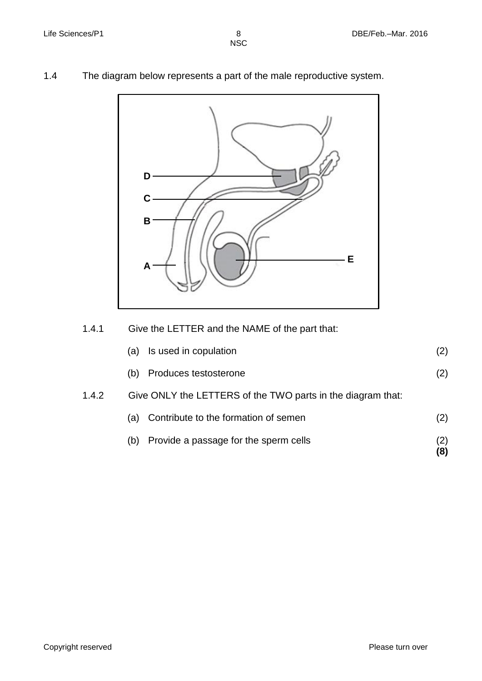1.4 The diagram below represents a part of the male reproductive system.



1.4.1 Give the LETTER and the NAME of the part that:

|       | Is used in copulation<br>(a)                                | (2) |  |
|-------|-------------------------------------------------------------|-----|--|
|       | Produces testosterone<br>(b)                                | (2) |  |
| 1.4.2 | Give ONLY the LETTERS of the TWO parts in the diagram that: |     |  |
|       | Contribute to the formation of semen<br>(a)                 | (2) |  |
|       | Provide a passage for the sperm cells<br>(b)                |     |  |

**(8)**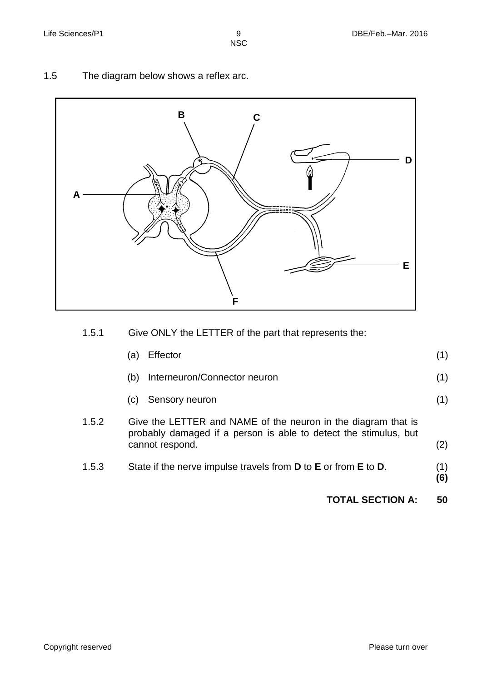1.5 The diagram below shows a reflex arc.



1.5.1 Give ONLY the LETTER of the part that represents the:

|       | Effector<br>a)                                                                                                                                       |            |
|-------|------------------------------------------------------------------------------------------------------------------------------------------------------|------------|
|       | Interneuron/Connector neuron<br>(b)                                                                                                                  | (1)        |
|       | Sensory neuron<br>(C)                                                                                                                                | (1)        |
| 1.5.2 | Give the LETTER and NAME of the neuron in the diagram that is<br>probably damaged if a person is able to detect the stimulus, but<br>cannot respond. | (2)        |
| 1.5.3 | State if the nerve impulse travels from <b>D</b> to <b>E</b> or from <b>E</b> to <b>D</b> .                                                          | (1)<br>(6) |

**TOTAL SECTION A: 50**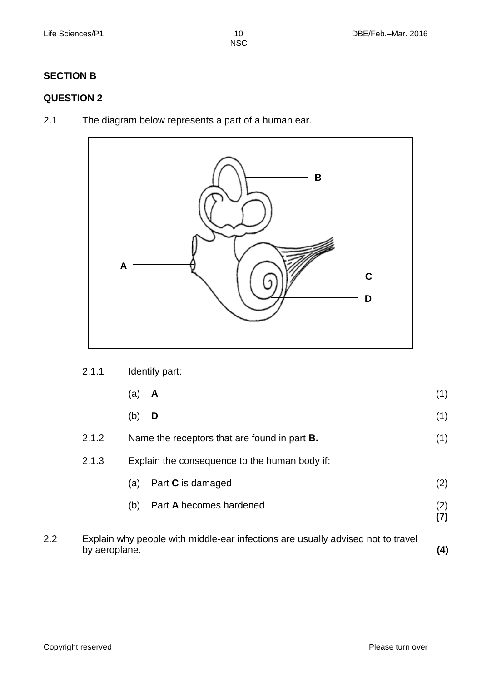# **SECTION B**

# **QUESTION 2**

2.1 The diagram below represents a part of a human ear.



| 2.1.1 | Identify part: |  |
|-------|----------------|--|
|-------|----------------|--|

|     |               | (a)<br>A                                                                        | (1)        |
|-----|---------------|---------------------------------------------------------------------------------|------------|
|     |               | (b)<br>D                                                                        | (1)        |
|     | 2.1.2         | Name the receptors that are found in part <b>B.</b>                             | (1)        |
|     | 2.1.3         | Explain the consequence to the human body if:                                   |            |
|     |               | Part <b>C</b> is damaged<br>(a)                                                 | (2)        |
|     |               | Part A becomes hardened<br>(b)                                                  | (2)<br>(7) |
| 2.2 | by aeroplane. | Explain why people with middle-ear infections are usually advised not to travel | (4)        |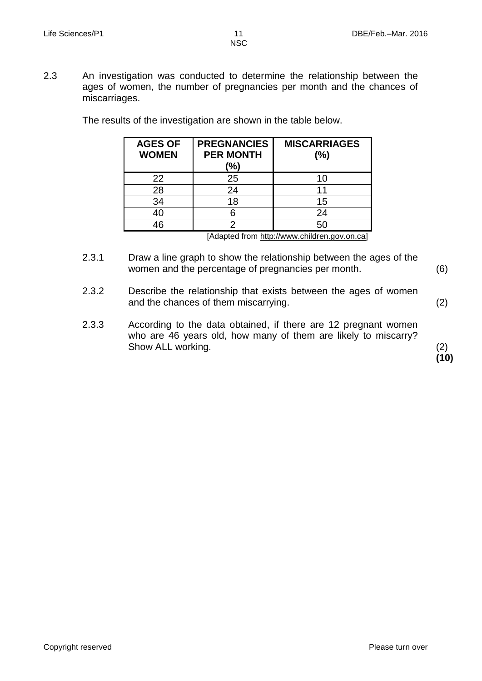2.3 An investigation was conducted to determine the relationship between the ages of women, the number of pregnancies per month and the chances of miscarriages.

| <b>AGES OF</b><br><b>WOMEN</b> | <b>PREGNANCIES</b><br><b>PER MONTH</b><br>(%) | <b>MISCARRIAGES</b><br>(%)          |
|--------------------------------|-----------------------------------------------|-------------------------------------|
| 22                             | 25                                            | 10                                  |
| 28                             | 24                                            | 11                                  |
| 34                             | 18                                            | 15                                  |
| 40                             |                                               | 24                                  |
| 46                             |                                               | 50                                  |
|                                |                                               | $\Lambda$ dontod from http:// $\mu$ |

The results of the investigation are shown in the table below.

[Adapted from http://www.children.gov.on.ca]

- 2.3.1 Draw a line graph to show the relationship between the ages of the women and the percentage of pregnancies per month. (6)
- 2.3.2 Describe the relationship that exists between the ages of women and the chances of them miscarrying.
- 2.3.3 According to the data obtained, if there are 12 pregnant women who are 46 years old, how many of them are likely to miscarry? Show ALL working.

(2) **(10)**

(2)

Copyright reserved **Please turn over the Copyright reserved** Please turn over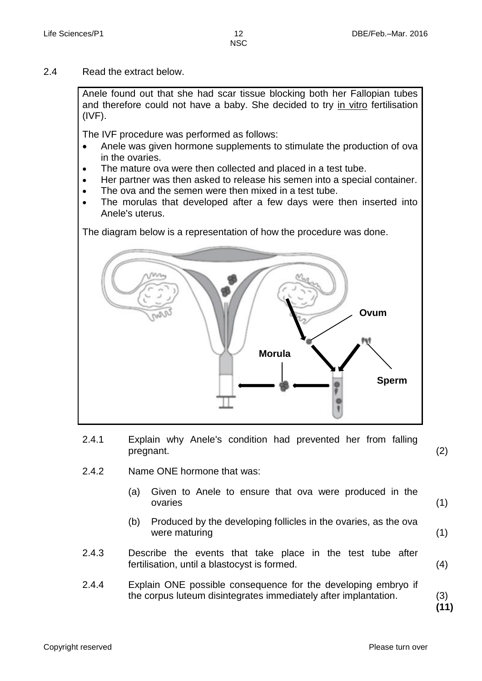2.4 Read the extract below.

Anele found out that she had scar tissue blocking both her Fallopian tubes and therefore could not have a baby. She decided to try in vitro fertilisation (IVF).

The IVF procedure was performed as follows:

- Anele was given hormone supplements to stimulate the production of ova in the ovaries.
- The mature ova were then collected and placed in a test tube.
- Her partner was then asked to release his semen into a special container.
- The ova and the semen were then mixed in a test tube.
- The morulas that developed after a few days were then inserted into Anele's uterus.

The diagram below is a representation of how the procedure was done.



2.4.1 Explain why Anele's condition had prevented her from falling pregnant.

(2)

- 2.4.2 Name ONE hormone that was:
	- (a) Given to Anele to ensure that ova were produced in the ovaries (1)
	- (b) Produced by the developing follicles in the ovaries, as the ova were maturing (1)
- 2.4.3 Describe the events that take place in the test tube after fertilisation, until a blastocyst is formed.
- 2.4.4 Explain ONE possible consequence for the developing embryo if the corpus luteum disintegrates immediately after implantation.

(3) **(11)**

(4)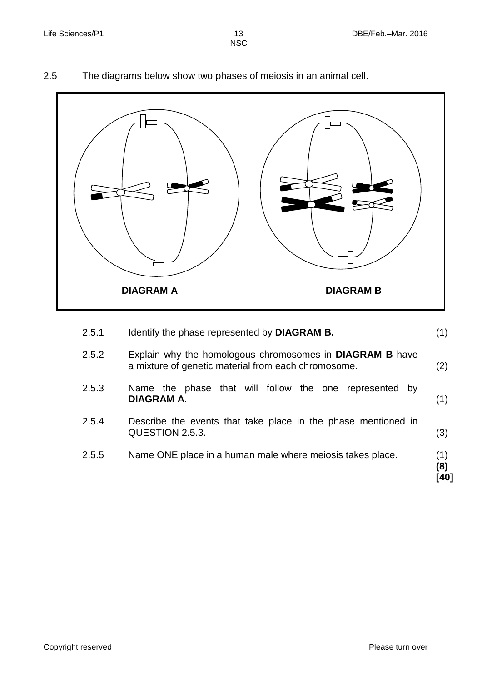# 2.5 The diagrams below show two phases of meiosis in an animal cell.



| 2.5.1 | Identify the phase represented by DIAGRAM B.                                                                           | (1)                |
|-------|------------------------------------------------------------------------------------------------------------------------|--------------------|
| 2.5.2 | Explain why the homologous chromosomes in <b>DIAGRAM B</b> have<br>a mixture of genetic material from each chromosome. | (2)                |
| 2.5.3 | Name the phase that will follow the one represented by<br><b>DIAGRAM A.</b>                                            | (1)                |
| 2.5.4 | Describe the events that take place in the phase mentioned in<br>QUESTION 2.5.3.                                       | (3)                |
| 2.5.5 | Name ONE place in a human male where meiosis takes place.                                                              | (1)<br>(8)<br>[40] |
|       |                                                                                                                        |                    |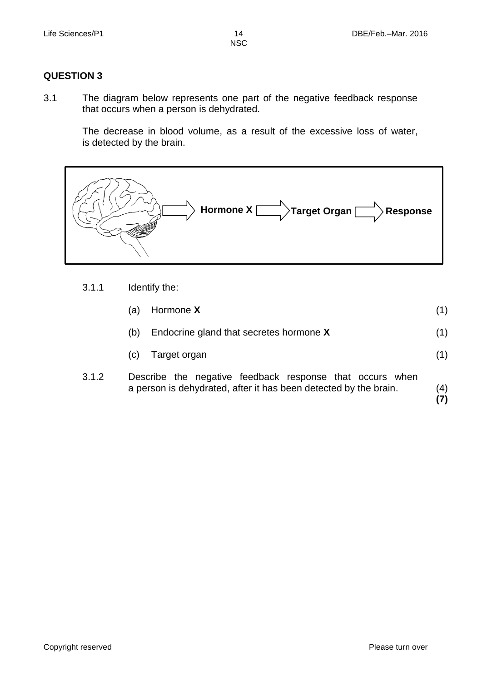# **QUESTION 3**

3.1 The diagram below represents one part of the negative feedback response that occurs when a person is dehydrated.

The decrease in blood volume, as a result of the excessive loss of water, is detected by the brain.



3.1.1 Identify the:

|       | (a) | Hormone X                                                     | (1)      |
|-------|-----|---------------------------------------------------------------|----------|
|       | (b) | Endocrine gland that secretes hormone X                       | (1)      |
|       |     | (c) Target organ                                              | (1)      |
| 3.1.2 |     | Describe the negative feedback response that occurs when<br>. | $\cdots$ |

a person is dehydrated, after it has been detected by the brain.  $\frac{(4)}{(7)}$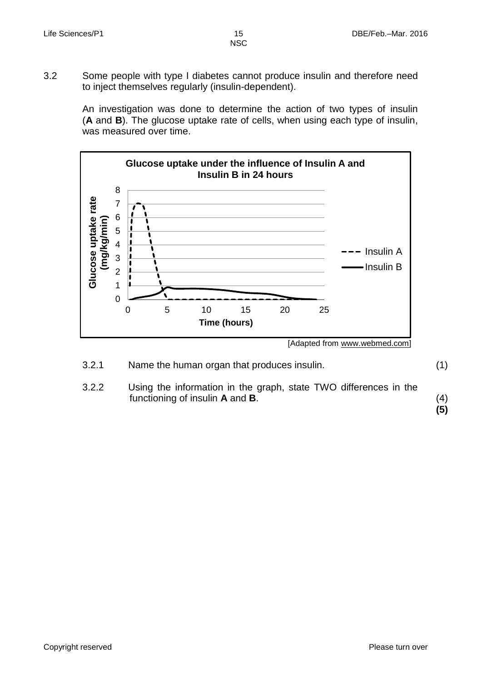3.2 Some people with type I diabetes cannot produce insulin and therefore need to inject themselves regularly (insulin-dependent).

> An investigation was done to determine the action of two types of insulin (**A** and **B**). The glucose uptake rate of cells, when using each type of insulin, was measured over time.



[Adapted from www.webmed.com]

| 3.2.1 | Name the human organ that produces insulin. |  |
|-------|---------------------------------------------|--|
|-------|---------------------------------------------|--|

3.2.2 Using the information in the graph, state TWO differences in the functioning of insulin **A** and **B**.

(4) **(5)**

(1)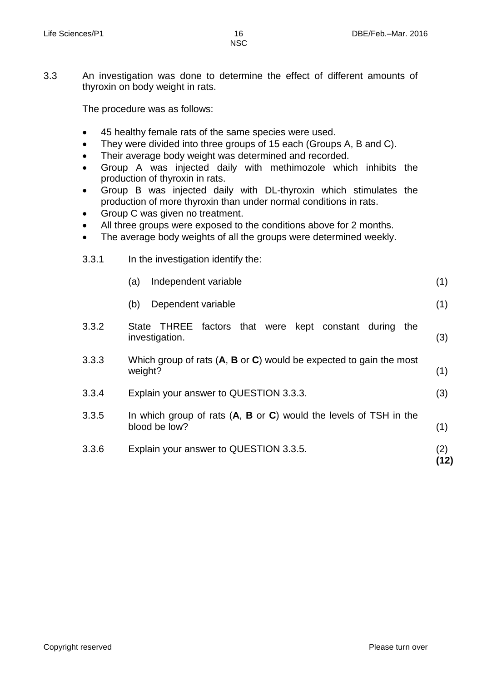3.3 An investigation was done to determine the effect of different amounts of thyroxin on body weight in rats.

The procedure was as follows:

- 45 healthy female rats of the same species were used.
- They were divided into three groups of 15 each (Groups A, B and C).
- Their average body weight was determined and recorded.
- Group A was injected daily with methimozole which inhibits the production of thyroxin in rats.
- Group B was injected daily with DL-thyroxin which stimulates the production of more thyroxin than under normal conditions in rats.
- Group C was given no treatment.
- All three groups were exposed to the conditions above for 2 months.
- The average body weights of all the groups were determined weekly.

| 3.3.1 | In the investigation identify the:                                                            |             |  |  |  |
|-------|-----------------------------------------------------------------------------------------------|-------------|--|--|--|
|       | Independent variable<br>(a)                                                                   | (1)         |  |  |  |
|       | Dependent variable<br>(b)                                                                     | (1)         |  |  |  |
| 3.3.2 | <b>THREE</b><br>factors that were kept constant during<br>State<br>the<br>investigation.      | (3)         |  |  |  |
| 3.3.3 | Which group of rats $(A, B \text{ or } C)$ would be expected to gain the most<br>weight?      | (1)         |  |  |  |
| 3.3.4 | Explain your answer to QUESTION 3.3.3.                                                        | (3)         |  |  |  |
| 3.3.5 | In which group of rats $(A, B \text{ or } C)$ would the levels of TSH in the<br>blood be low? | (1)         |  |  |  |
| 3.3.6 | Explain your answer to QUESTION 3.3.5.                                                        | (2)<br>ั12) |  |  |  |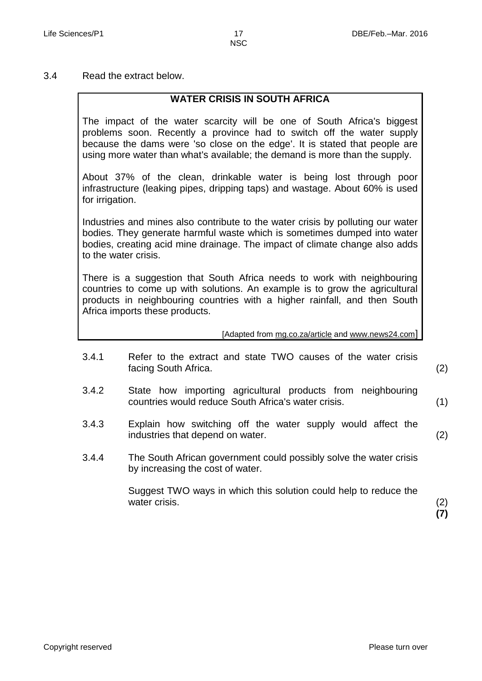3.4 Read the extract below.

## **WATER CRISIS IN SOUTH AFRICA**

The impact of the water scarcity will be one of South Africa's biggest problems soon. Recently a province had to switch off the water supply because the dams were 'so close on the edge'. It is stated that people are using more water than what's available; the demand is more than the supply.

About 37% of the clean, drinkable water is being lost through poor infrastructure (leaking pipes, dripping taps) and wastage. About 60% is used for irrigation.

Industries and mines also contribute to the water crisis by polluting our water bodies. They generate harmful waste which is sometimes dumped into water bodies, creating acid mine drainage. The impact of climate change also adds to the water crisis.

There is a suggestion that South Africa needs to work with neighbouring countries to come up with solutions. An example is to grow the agricultural products in neighbouring countries with a higher rainfall, and then South Africa imports these products.

[Adapted from mg.co.za/article and [www.news24.com](http://www.news24.com/)]

3.4.1 Refer to the extract and state TWO causes of the water crisis facing South Africa.

(2)

(1)

(2)

- 3.4.2 State how importing agricultural products from neighbouring countries would reduce South Africa's water crisis.
- 3.4.3 Explain how switching off the water supply would affect the industries that depend on water.
- 3.4.4 The South African government could possibly solve the water crisis by increasing the cost of water.

Suggest TWO ways in which this solution could help to reduce the water crisis.

(2) **(7)**